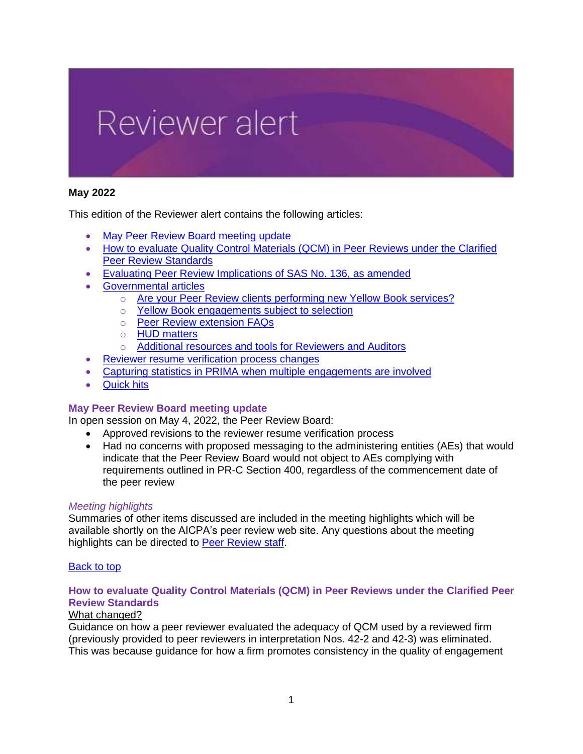

# <span id="page-0-2"></span>**May 2022**

This edition of the Reviewer alert contains the following articles:

- [May Peer Review Board](#page-0-0) meeting update
- How to evaluate Quality Control Materials (QCM) in Peer Reviews under the Clarified [Peer Review Standards](#page-0-1)
- [Evaluating Peer Review Implications of SAS No.](#page-2-0) 136, as amended
- [Governmental](#page-5-0) articles
	- o [Are your Peer Review clients performing new Yellow Book services?](#page-5-1)
	- o [Yellow Book engagements subject to selection](#page-5-2)
	- o [Peer Review extension FAQs](#page-7-0)
	- o [HUD matters](#page-9-0)
	- o [Additional resources and tools for Reviewers and Auditors](#page-11-0)
- [Reviewer resume verification process changes](#page-11-1)
- [Capturing statistics in PRIMA when multiple engagements are involved](#page-12-0)
- [Quick hits](#page-12-1)

#### <span id="page-0-0"></span>**May Peer Review Board meeting update**

In open session on May 4, 2022, the Peer Review Board:

- Approved revisions to the reviewer resume verification process
- Had no concerns with proposed messaging to the administering entities (AEs) that would indicate that the Peer Review Board would not object to AEs complying with requirements outlined in PR-C Section 400, regardless of the commencement date of the peer review

#### *Meeting highlights*

Summaries of other items discussed are included in the meeting highlights which will be available shortly on the AICPA's peer review web site. Any questions about the meeting highlights can be directed to [Peer Review staff.](https://www.aicpa.org/interestareas/peerreview/community/links/sources1.html)

#### [Back to top](#page-0-2)

### <span id="page-0-1"></span>**How to evaluate Quality Control Materials (QCM) in Peer Reviews under the Clarified Peer Review Standards**

### What changed?

Guidance on how a peer reviewer evaluated the adequacy of QCM used by a reviewed firm (previously provided to peer reviewers in interpretation Nos. 42-2 and 42-3) was eliminated. This was because guidance for how a firm promotes consistency in the quality of engagement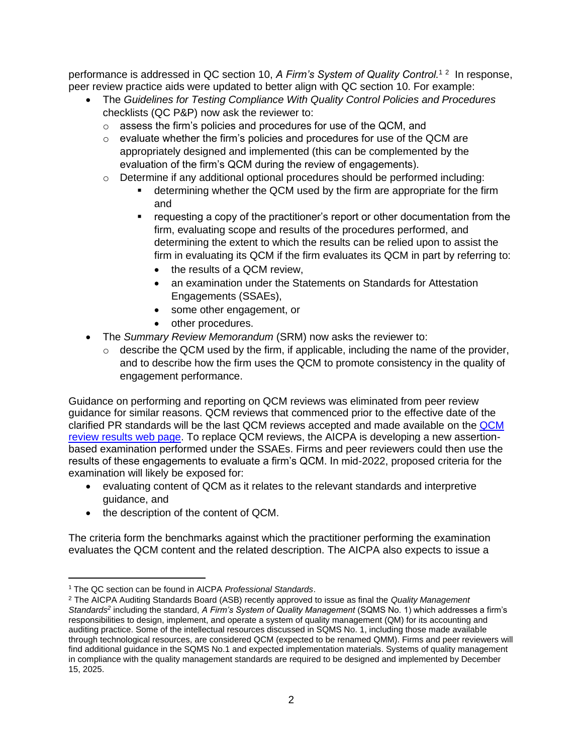performance is addressed in QC section 10, A Firm's System of Quality Control.<sup>12</sup> In response, peer review practice aids were updated to better align with QC section 10. For example:

- The *Guidelines for Testing Compliance With Quality Control Policies and Procedures* checklists (QC P&P) now ask the reviewer to:
	- o assess the firm's policies and procedures for use of the QCM, and
	- $\circ$  evaluate whether the firm's policies and procedures for use of the QCM are appropriately designed and implemented (this can be complemented by the evaluation of the firm's QCM during the review of engagements).
	- $\circ$  Determine if any additional optional procedures should be performed including:
		- determining whether the QCM used by the firm are appropriate for the firm and
		- requesting a copy of the practitioner's report or other documentation from the firm, evaluating scope and results of the procedures performed, and determining the extent to which the results can be relied upon to assist the firm in evaluating its QCM if the firm evaluates its QCM in part by referring to:
			- the results of a QCM review.
			- an examination under the Statements on Standards for Attestation Engagements (SSAEs),
			- some other engagement, or
			- other procedures.
- The *Summary Review Memorandum* (SRM) now asks the reviewer to:
	- $\circ$  describe the QCM used by the firm, if applicable, including the name of the provider, and to describe how the firm uses the QCM to promote consistency in the quality of engagement performance.

Guidance on performing and reporting on QCM reviews was eliminated from peer review guidance for similar reasons. QCM reviews that commenced prior to the effective date of the clarified PR standards will be the last QCM reviews accepted and made available on the [QCM](https://us.aicpa.org/interestareas/peerreview/community/nationalprc/qcmreviewresults)  [review results web page.](https://us.aicpa.org/interestareas/peerreview/community/nationalprc/qcmreviewresults) To replace QCM reviews, the AICPA is developing a new assertionbased examination performed under the SSAEs. Firms and peer reviewers could then use the results of these engagements to evaluate a firm's QCM. In mid-2022, proposed criteria for the examination will likely be exposed for:

- evaluating content of QCM as it relates to the relevant standards and interpretive guidance, and
- the description of the content of QCM.

The criteria form the benchmarks against which the practitioner performing the examination evaluates the QCM content and the related description. The AICPA also expects to issue a

<sup>1</sup> The QC section can be found in AICPA *Professional Standards*.

<sup>2</sup> The AICPA Auditing Standards Board (ASB) recently approved to issue as final the *Quality Management Standards<sup>2</sup>* including the standard, *A Firm's System of Quality Management* (SQMS No. 1) which addresses a firm's responsibilities to design, implement, and operate a system of quality management (QM) for its accounting and auditing practice. Some of the intellectual resources discussed in SQMS No. 1, including those made available through technological resources, are considered QCM (expected to be renamed QMM). Firms and peer reviewers will find additional guidance in the SQMS No.1 and expected implementation materials. Systems of quality management in compliance with the quality management standards are required to be designed and implemented by December 15, 2025.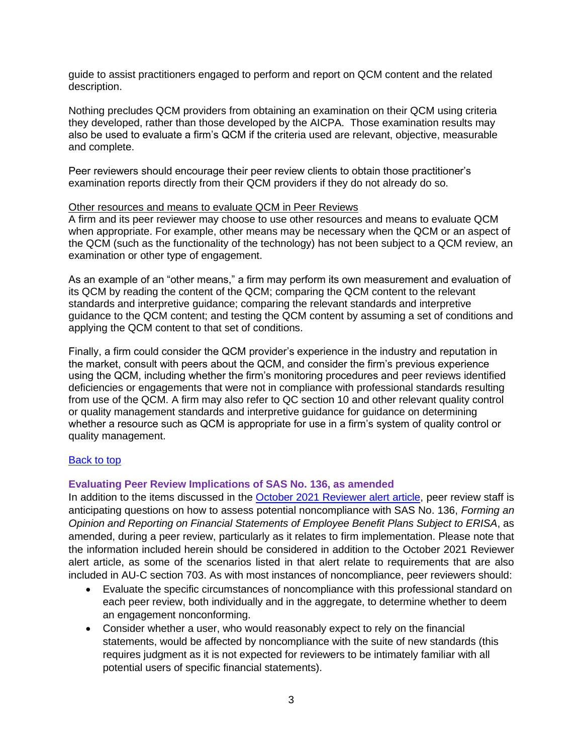guide to assist practitioners engaged to perform and report on QCM content and the related description.

Nothing precludes QCM providers from obtaining an examination on their QCM using criteria they developed, rather than those developed by the AICPA. Those examination results may also be used to evaluate a firm's QCM if the criteria used are relevant, objective, measurable and complete.

Peer reviewers should encourage their peer review clients to obtain those practitioner's examination reports directly from their QCM providers if they do not already do so.

#### Other resources and means to evaluate QCM in Peer Reviews

A firm and its peer reviewer may choose to use other resources and means to evaluate QCM when appropriate. For example, other means may be necessary when the QCM or an aspect of the QCM (such as the functionality of the technology) has not been subject to a QCM review, an examination or other type of engagement.

As an example of an "other means," a firm may perform its own measurement and evaluation of its QCM by reading the content of the QCM; comparing the QCM content to the relevant standards and interpretive guidance; comparing the relevant standards and interpretive guidance to the QCM content; and testing the QCM content by assuming a set of conditions and applying the QCM content to that set of conditions.

Finally, a firm could consider the QCM provider's experience in the industry and reputation in the market, consult with peers about the QCM, and consider the firm's previous experience using the QCM, including whether the firm's monitoring procedures and peer reviews identified deficiencies or engagements that were not in compliance with professional standards resulting from use of the QCM. A firm may also refer to QC section 10 and other relevant quality control or quality management standards and interpretive guidance for guidance on determining whether a resource such as QCM is appropriate for use in a firm's system of quality control or quality management.

#### **[Back to top](#page-0-2)**

#### <span id="page-2-0"></span>**Evaluating Peer Review Implications of SAS No. 136, as amended**

In addition to the items discussed in the **October 2021 Reviewer alert article**, peer review staff is anticipating questions on how to assess potential noncompliance with SAS No. 136, *Forming an Opinion and Reporting on Financial Statements of Employee Benefit Plans Subject to ERISA*, as amended, during a peer review, particularly as it relates to firm implementation. Please note that the information included herein should be considered in addition to the October 2021 Reviewer alert article, as some of the scenarios listed in that alert relate to requirements that are also included in AU-C section 703. As with most instances of noncompliance, peer reviewers should:

- Evaluate the specific circumstances of noncompliance with this professional standard on each peer review, both individually and in the aggregate, to determine whether to deem an engagement nonconforming.
- Consider whether a user, who would reasonably expect to rely on the financial statements, would be affected by noncompliance with the suite of new standards (this requires judgment as it is not expected for reviewers to be intimately familiar with all potential users of specific financial statements).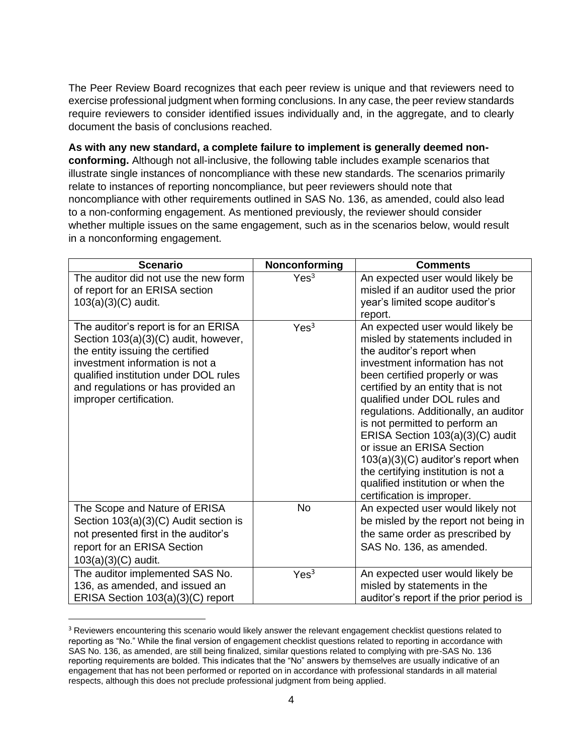The Peer Review Board recognizes that each peer review is unique and that reviewers need to exercise professional judgment when forming conclusions. In any case, the peer review standards require reviewers to consider identified issues individually and, in the aggregate, and to clearly document the basis of conclusions reached.

**As with any new standard, a complete failure to implement is generally deemed nonconforming.** Although not all-inclusive, the following table includes example scenarios that illustrate single instances of noncompliance with these new standards. The scenarios primarily relate to instances of reporting noncompliance, but peer reviewers should note that noncompliance with other requirements outlined in SAS No. 136, as amended, could also lead to a non-conforming engagement. As mentioned previously, the reviewer should consider whether multiple issues on the same engagement, such as in the scenarios below, would result in a nonconforming engagement.

<span id="page-3-0"></span>

| <b>Scenario</b>                                                                                                                                                                                                                                               | Nonconforming    | <b>Comments</b>                                                                                                                                                                                                                                                                                                                                                                                                                                                                                                                            |
|---------------------------------------------------------------------------------------------------------------------------------------------------------------------------------------------------------------------------------------------------------------|------------------|--------------------------------------------------------------------------------------------------------------------------------------------------------------------------------------------------------------------------------------------------------------------------------------------------------------------------------------------------------------------------------------------------------------------------------------------------------------------------------------------------------------------------------------------|
| The auditor did not use the new form<br>of report for an ERISA section<br>103(a)(3)(C) audit.                                                                                                                                                                 | Yes <sup>3</sup> | An expected user would likely be<br>misled if an auditor used the prior<br>year's limited scope auditor's<br>report.                                                                                                                                                                                                                                                                                                                                                                                                                       |
| The auditor's report is for an ERISA<br>Section 103(a)(3)(C) audit, however,<br>the entity issuing the certified<br>investment information is not a<br>qualified institution under DOL rules<br>and regulations or has provided an<br>improper certification. | Yes <sup>3</sup> | An expected user would likely be<br>misled by statements included in<br>the auditor's report when<br>investment information has not<br>been certified properly or was<br>certified by an entity that is not<br>qualified under DOL rules and<br>regulations. Additionally, an auditor<br>is not permitted to perform an<br>ERISA Section 103(a)(3)(C) audit<br>or issue an ERISA Section<br>$103(a)(3)(C)$ auditor's report when<br>the certifying institution is not a<br>qualified institution or when the<br>certification is improper. |
| The Scope and Nature of ERISA<br>Section 103(a)(3)(C) Audit section is<br>not presented first in the auditor's<br>report for an ERISA Section<br>$103(a)(3)(C)$ audit.                                                                                        | <b>No</b>        | An expected user would likely not<br>be misled by the report not being in<br>the same order as prescribed by<br>SAS No. 136, as amended.                                                                                                                                                                                                                                                                                                                                                                                                   |
| The auditor implemented SAS No.<br>136, as amended, and issued an<br>ERISA Section 103(a)(3)(C) report                                                                                                                                                        | Yes <sup>3</sup> | An expected user would likely be<br>misled by statements in the<br>auditor's report if the prior period is                                                                                                                                                                                                                                                                                                                                                                                                                                 |

<sup>&</sup>lt;sup>3</sup> Reviewers encountering this scenario would likely answer the relevant engagement checklist questions related to reporting as "No." While the final version of engagement checklist questions related to reporting in accordance with SAS No. 136, as amended, are still being finalized, similar questions related to complying with pre-SAS No. 136 reporting requirements are bolded. This indicates that the "No" answers by themselves are usually indicative of an engagement that has not been performed or reported on in accordance with professional standards in all material respects, although this does not preclude professional judgment from being applied.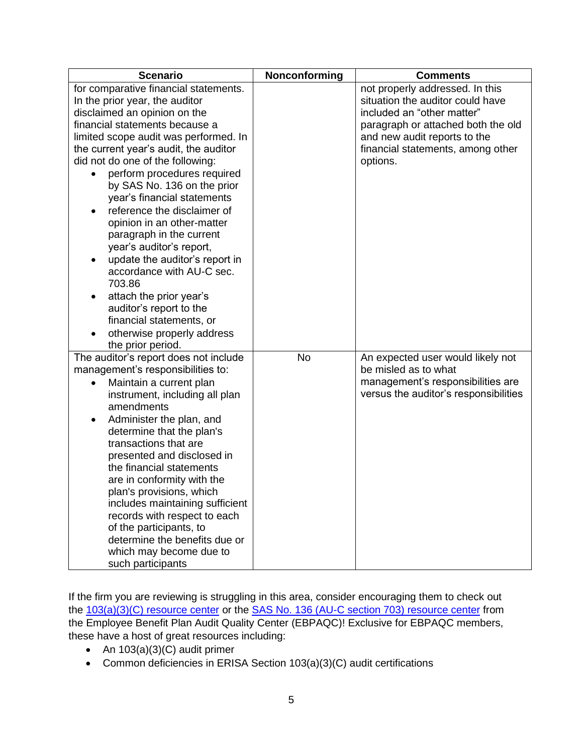| <b>Scenario</b>                                         | Nonconforming | <b>Comments</b>                       |
|---------------------------------------------------------|---------------|---------------------------------------|
| for comparative financial statements.                   |               | not properly addressed. In this       |
| In the prior year, the auditor                          |               | situation the auditor could have      |
| disclaimed an opinion on the                            |               | included an "other matter"            |
| financial statements because a                          |               | paragraph or attached both the old    |
| limited scope audit was performed. In                   |               | and new audit reports to the          |
| the current year's audit, the auditor                   |               | financial statements, among other     |
| did not do one of the following:                        |               | options.                              |
| perform procedures required                             |               |                                       |
| by SAS No. 136 on the prior                             |               |                                       |
| year's financial statements                             |               |                                       |
| reference the disclaimer of                             |               |                                       |
| opinion in an other-matter                              |               |                                       |
| paragraph in the current                                |               |                                       |
| year's auditor's report,                                |               |                                       |
| update the auditor's report in                          |               |                                       |
| accordance with AU-C sec.                               |               |                                       |
| 703.86                                                  |               |                                       |
| attach the prior year's                                 |               |                                       |
| auditor's report to the                                 |               |                                       |
| financial statements, or                                |               |                                       |
| otherwise properly address<br>$\bullet$                 |               |                                       |
| the prior period.                                       |               |                                       |
| The auditor's report does not include                   | <b>No</b>     | An expected user would likely not     |
| management's responsibilities to:                       |               | be misled as to what                  |
| Maintain a current plan<br>$\bullet$                    |               | management's responsibilities are     |
| instrument, including all plan                          |               | versus the auditor's responsibilities |
| amendments                                              |               |                                       |
| Administer the plan, and                                |               |                                       |
| determine that the plan's                               |               |                                       |
| transactions that are                                   |               |                                       |
| presented and disclosed in                              |               |                                       |
| the financial statements                                |               |                                       |
| are in conformity with the                              |               |                                       |
| plan's provisions, which                                |               |                                       |
| includes maintaining sufficient                         |               |                                       |
| records with respect to each<br>of the participants, to |               |                                       |
| determine the benefits due or                           |               |                                       |
| which may become due to                                 |               |                                       |
| such participants                                       |               |                                       |

If the firm you are reviewing is struggling in this area, consider encouraging them to check out the [103\(a\)\(3\)\(C\) resource center](https://www.aicpa.org/resources/download/erisa-section-103-a-3-c-audits)</u> or the [SAS No. 136 \(AU-C section 703\) resource center](https://www.aicpa.org/resources/article/sas-no-136-au-c-section-703-resource-center) from the Employee Benefit Plan Audit Quality Center (EBPAQC)! Exclusive for EBPAQC members, these have a host of great resources including:

- An 103(a)(3)(C) audit primer
- Common deficiencies in ERISA Section 103(a)(3)(C) audit certifications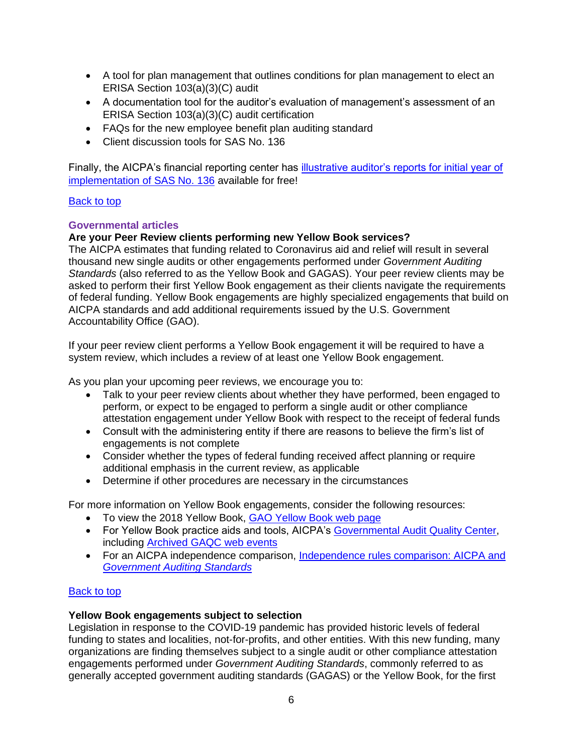- A tool for plan management that outlines conditions for plan management to elect an ERISA Section 103(a)(3)(C) audit
- A documentation tool for the auditor's evaluation of management's assessment of an ERISA Section 103(a)(3)(C) audit certification
- FAQs for the new employee benefit plan auditing standard
- Client discussion tools for SAS No. 136

Finally, the AICPA's financial reporting center has [illustrative auditor's reports for initial year of](https://www.aicpa.org/content/dam/aicpa/interestareas/frc/auditattest/downloadabledocuments/sas-136-illustrations.pdf)  [implementation of SAS No. 136](https://www.aicpa.org/content/dam/aicpa/interestareas/frc/auditattest/downloadabledocuments/sas-136-illustrations.pdf) available for free!

### [Back to top](#page-0-2)

### <span id="page-5-0"></span>**Governmental articles**

### <span id="page-5-1"></span>**Are your Peer Review clients performing new Yellow Book services?**

The AICPA estimates that funding related to Coronavirus aid and relief will result in several thousand new single audits or other engagements performed under *Government Auditing Standards* (also referred to as the Yellow Book and GAGAS). Your peer review clients may be asked to perform their first Yellow Book engagement as their clients navigate the requirements of federal funding. Yellow Book engagements are highly specialized engagements that build on AICPA standards and add additional requirements issued by the U.S. Government Accountability Office (GAO).

If your peer review client performs a Yellow Book engagement it will be required to have a system review, which includes a review of at least one Yellow Book engagement.

As you plan your upcoming peer reviews, we encourage you to:

- Talk to your peer review clients about whether they have performed, been engaged to perform, or expect to be engaged to perform a single audit or other compliance attestation engagement under Yellow Book with respect to the receipt of federal funds
- Consult with the administering entity if there are reasons to believe the firm's list of engagements is not complete
- Consider whether the types of federal funding received affect planning or require additional emphasis in the current review, as applicable
- Determine if other procedures are necessary in the circumstances

For more information on Yellow Book engagements, consider the following resources:

- To view the 2018 Yellow Book, [GAO Yellow Book web page](https://www.gao.gov/yellowbook)
- For Yellow Book practice aids and tools, AICPA's [Governmental Audit Quality Center,](https://us.aicpa.org/interestareas/governmentalauditquality/resources/auditpracticetoolsaids/yellowbookaudittoolsandaids) including [Archived GAQC web events](https://us.aicpa.org/interestareas/governmentalauditquality/resources/archivedmemberwebevents-auditingstandards.html)
- <span id="page-5-2"></span>• For an AICPA independence comparison, Independence rules comparison: AICPA and *[Government Auditing](https://us.aicpa.org/content/dam/aicpa/interestareas/professionalethics/resources/tools/downloadabledocuments/56175896-gaocomparison2022.pdf) Standards*

# [Back to top](#page-0-2)

#### **Yellow Book engagements subject to selection**

Legislation in response to the COVID-19 pandemic has provided historic levels of federal funding to states and localities, not-for-profits, and other entities. With this new funding, many organizations are finding themselves subject to a single audit or other compliance attestation engagements performed under *Government Auditing Standards*, commonly referred to as generally accepted government auditing standards (GAGAS) or the Yellow Book, for the first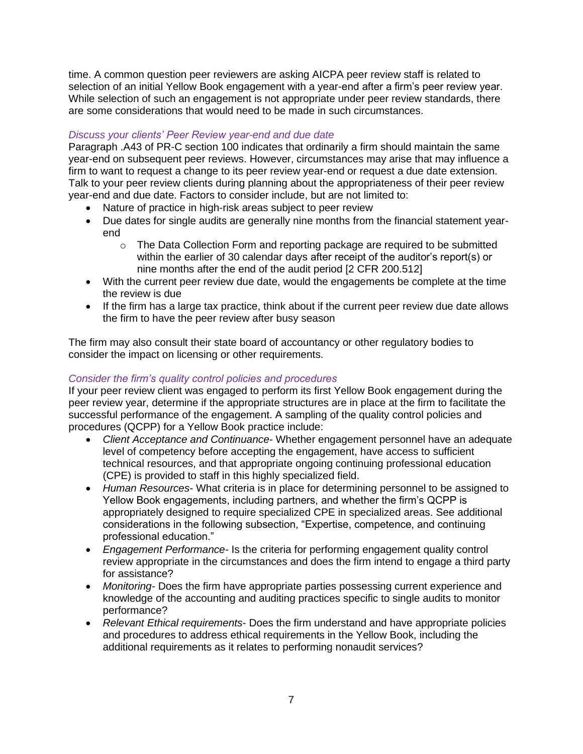time. A common question peer reviewers are asking AICPA peer review staff is related to selection of an initial Yellow Book engagement with a year-end after a firm's peer review year. While selection of such an engagement is not appropriate under peer review standards, there are some considerations that would need to be made in such circumstances.

# *Discuss your clients' Peer Review year-end and due date*

Paragraph .A43 of PR-C section 100 indicates that ordinarily a firm should maintain the same year-end on subsequent peer reviews. However, circumstances may arise that may influence a firm to want to request a change to its peer review year-end or request a due date extension. Talk to your peer review clients during planning about the appropriateness of their peer review year-end and due date. Factors to consider include, but are not limited to:

- Nature of practice in high-risk areas subject to peer review
- Due dates for single audits are generally nine months from the financial statement yearend
	- o The Data Collection Form and reporting package are required to be submitted within the earlier of 30 calendar days after receipt of the auditor's report(s) or nine months after the end of the audit period [2 CFR 200.512]
- With the current peer review due date, would the engagements be complete at the time the review is due
- If the firm has a large tax practice, think about if the current peer review due date allows the firm to have the peer review after busy season

The firm may also consult their state board of accountancy or other regulatory bodies to consider the impact on licensing or other requirements.

# *Consider the firm's quality control policies and procedures*

If your peer review client was engaged to perform its first Yellow Book engagement during the peer review year, determine if the appropriate structures are in place at the firm to facilitate the successful performance of the engagement. A sampling of the quality control policies and procedures (QCPP) for a Yellow Book practice include:

- *Client Acceptance and Continuance* Whether engagement personnel have an adequate level of competency before accepting the engagement, have access to sufficient technical resources, and that appropriate ongoing continuing professional education (CPE) is provided to staff in this highly specialized field.
- *Human Resources* What criteria is in place for determining personnel to be assigned to Yellow Book engagements, including partners, and whether the firm's QCPP is appropriately designed to require specialized CPE in specialized areas. See additional considerations in the following subsection, "Expertise, competence, and continuing professional education."
- *Engagement Performance-* Is the criteria for performing engagement quality control review appropriate in the circumstances and does the firm intend to engage a third party for assistance?
- *Monitoring-* Does the firm have appropriate parties possessing current experience and knowledge of the accounting and auditing practices specific to single audits to monitor performance?
- *Relevant Ethical requirements* Does the firm understand and have appropriate policies and procedures to address ethical requirements in the Yellow Book, including the additional requirements as it relates to performing nonaudit services?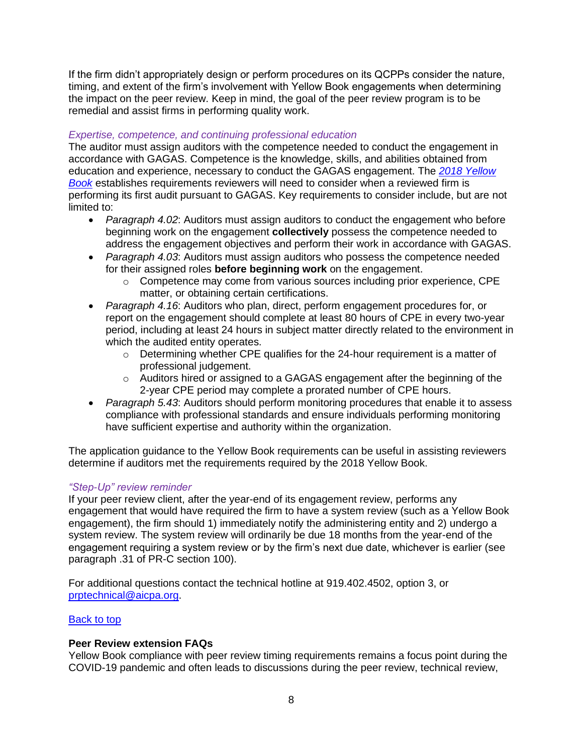If the firm didn't appropriately design or perform procedures on its QCPPs consider the nature, timing, and extent of the firm's involvement with Yellow Book engagements when determining the impact on the peer review. Keep in mind, the goal of the peer review program is to be remedial and assist firms in performing quality work.

# *Expertise, competence, and continuing professional education*

The auditor must assign auditors with the competence needed to conduct the engagement in accordance with GAGAS. Competence is the knowledge, skills, and abilities obtained from education and experience, necessary to conduct the GAGAS engagement. The *[2018 Yellow](https://www.gao.gov/products/gao-18-568g)  [Book](https://www.gao.gov/products/gao-18-568g)* establishes requirements reviewers will need to consider when a reviewed firm is performing its first audit pursuant to GAGAS. Key requirements to consider include, but are not limited to:

- *Paragraph 4.02*: Auditors must assign auditors to conduct the engagement who before beginning work on the engagement **collectively** possess the competence needed to address the engagement objectives and perform their work in accordance with GAGAS.
- *Paragraph 4.03*: Auditors must assign auditors who possess the competence needed for their assigned roles **before beginning work** on the engagement.
	- $\circ$  Competence may come from various sources including prior experience, CPE matter, or obtaining certain certifications.
- *Paragraph 4.16*: Auditors who plan, direct, perform engagement procedures for, or report on the engagement should complete at least 80 hours of CPE in every two-year period, including at least 24 hours in subject matter directly related to the environment in which the audited entity operates.
	- $\circ$  Determining whether CPE qualifies for the 24-hour requirement is a matter of professional judgement.
	- $\circ$  Auditors hired or assigned to a GAGAS engagement after the beginning of the 2-year CPE period may complete a prorated number of CPE hours.
- *Paragraph 5.43*: Auditors should perform monitoring procedures that enable it to assess compliance with professional standards and ensure individuals performing monitoring have sufficient expertise and authority within the organization.

The application guidance to the Yellow Book requirements can be useful in assisting reviewers determine if auditors met the requirements required by the 2018 Yellow Book.

# *"Step-Up" review reminder*

If your peer review client, after the year-end of its engagement review, performs any engagement that would have required the firm to have a system review (such as a Yellow Book engagement), the firm should 1) immediately notify the administering entity and 2) undergo a system review. The system review will ordinarily be due 18 months from the year-end of the engagement requiring a system review or by the firm's next due date, whichever is earlier (see paragraph .31 of PR-C section 100).

For additional questions contact the technical hotline at 919.402.4502, option 3, or [prptechnical@aicpa.org.](mailto:prtechnical@aicpa.org)

# [Back to top](#page-0-2)

# <span id="page-7-0"></span>**Peer Review extension FAQs**

Yellow Book compliance with peer review timing requirements remains a focus point during the COVID-19 pandemic and often leads to discussions during the peer review, technical review,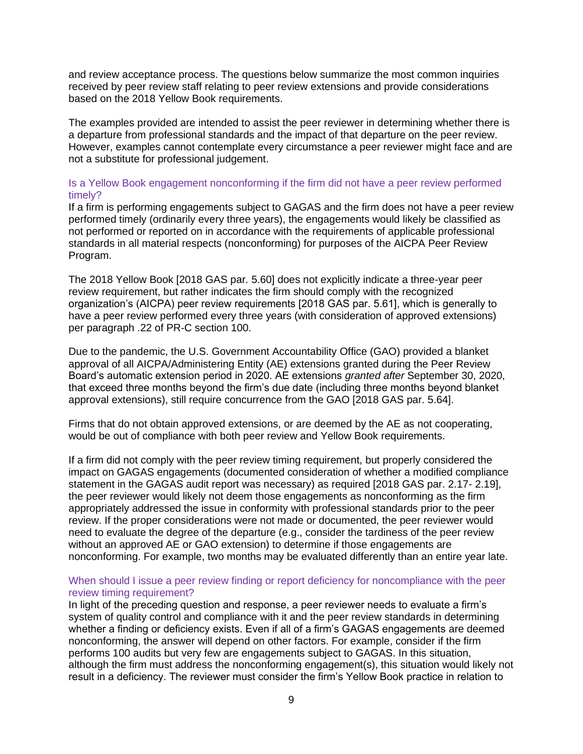and review acceptance process. The questions below summarize the most common inquiries received by peer review staff relating to peer review extensions and provide considerations based on the 2018 Yellow Book requirements.

The examples provided are intended to assist the peer reviewer in determining whether there is a departure from professional standards and the impact of that departure on the peer review. However, examples cannot contemplate every circumstance a peer reviewer might face and are not a substitute for professional judgement.

#### Is a Yellow Book engagement nonconforming if the firm did not have a peer review performed timely?

If a firm is performing engagements subject to GAGAS and the firm does not have a peer review performed timely (ordinarily every three years), the engagements would likely be classified as not performed or reported on in accordance with the requirements of applicable professional standards in all material respects (nonconforming) for purposes of the AICPA Peer Review Program.

The 2018 Yellow Book [2018 GAS par. 5.60] does not explicitly indicate a three-year peer review requirement, but rather indicates the firm should comply with the recognized organization's (AICPA) peer review requirements [2018 GAS par. 5.61], which is generally to have a peer review performed every three years (with consideration of approved extensions) per paragraph .22 of PR-C section 100.

Due to the pandemic, the U.S. Government Accountability Office (GAO) provided a blanket approval of all AICPA/Administering Entity (AE) extensions granted during the Peer Review Board's automatic extension period in 2020. AE extensions *granted after* September 30, 2020, that exceed three months beyond the firm's due date (including three months beyond blanket approval extensions), still require concurrence from the GAO [2018 GAS par. 5.64].

Firms that do not obtain approved extensions, or are deemed by the AE as not cooperating, would be out of compliance with both peer review and Yellow Book requirements.

If a firm did not comply with the peer review timing requirement, but properly considered the impact on GAGAS engagements (documented consideration of whether a modified compliance statement in the GAGAS audit report was necessary) as required [2018 GAS par. 2.17- 2.19], the peer reviewer would likely not deem those engagements as nonconforming as the firm appropriately addressed the issue in conformity with professional standards prior to the peer review. If the proper considerations were not made or documented, the peer reviewer would need to evaluate the degree of the departure (e.g., consider the tardiness of the peer review without an approved AE or GAO extension) to determine if those engagements are nonconforming. For example, two months may be evaluated differently than an entire year late.

### When should I issue a peer review finding or report deficiency for noncompliance with the peer review timing requirement?

In light of the preceding question and response, a peer reviewer needs to evaluate a firm's system of quality control and compliance with it and the peer review standards in determining whether a finding or deficiency exists. Even if all of a firm's GAGAS engagements are deemed nonconforming, the answer will depend on other factors. For example, consider if the firm performs 100 audits but very few are engagements subject to GAGAS. In this situation, although the firm must address the nonconforming engagement(s), this situation would likely not result in a deficiency. The reviewer must consider the firm's Yellow Book practice in relation to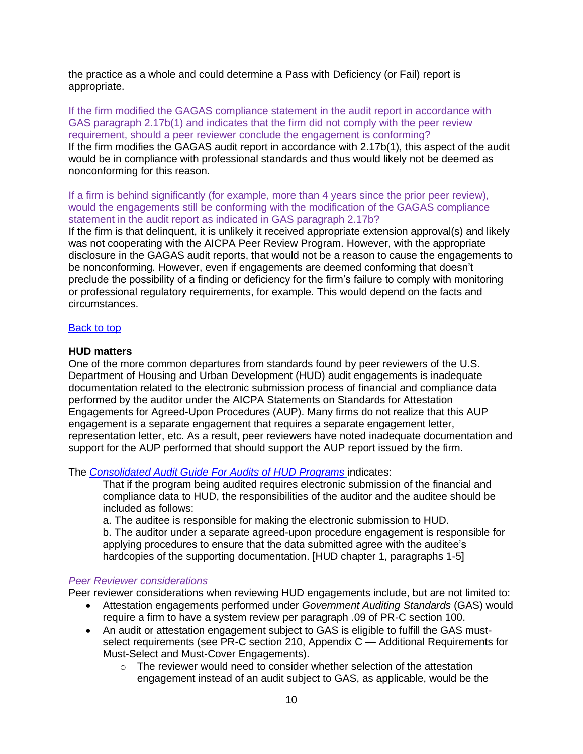the practice as a whole and could determine a Pass with Deficiency (or Fail) report is appropriate.

If the firm modified the GAGAS compliance statement in the audit report in accordance with GAS paragraph 2.17b(1) and indicates that the firm did not comply with the peer review requirement, should a peer reviewer conclude the engagement is conforming? If the firm modifies the GAGAS audit report in accordance with 2.17b(1), this aspect of the audit would be in compliance with professional standards and thus would likely not be deemed as nonconforming for this reason.

If a firm is behind significantly (for example, more than 4 years since the prior peer review), would the engagements still be conforming with the modification of the GAGAS compliance statement in the audit report as indicated in GAS paragraph 2.17b?

If the firm is that delinquent, it is unlikely it received appropriate extension approval(s) and likely was not cooperating with the AICPA Peer Review Program. However, with the appropriate disclosure in the GAGAS audit reports, that would not be a reason to cause the engagements to be nonconforming. However, even if engagements are deemed conforming that doesn't preclude the possibility of a finding or deficiency for the firm's failure to comply with monitoring or professional regulatory requirements, for example. This would depend on the facts and circumstances.

#### [Back to top](#page-0-2)

### <span id="page-9-0"></span>**HUD matters**

One of the more common departures from standards found by peer reviewers of the U.S. Department of Housing and Urban Development (HUD) audit engagements is inadequate documentation related to the electronic submission process of financial and compliance data performed by the auditor under the AICPA Statements on Standards for Attestation Engagements for Agreed-Upon Procedures (AUP). Many firms do not realize that this AUP engagement is a separate engagement that requires a separate engagement letter, representation letter, etc. As a result, peer reviewers have noted inadequate documentation and support for the AUP performed that should support the AUP report issued by the firm.

The *[Consolidated Audit Guide For Audits of HUD Programs](https://www.hud.gov/program_offices/administration/hudclips/handbooks/oigh/2000.4)* indicates:

That if the program being audited requires electronic submission of the financial and compliance data to HUD, the responsibilities of the auditor and the auditee should be included as follows:

a. The auditee is responsible for making the electronic submission to HUD. b. The auditor under a separate agreed-upon procedure engagement is responsible for

applying procedures to ensure that the data submitted agree with the auditee's hardcopies of the supporting documentation. [HUD chapter 1, paragraphs 1-5]

#### *Peer Reviewer considerations*

Peer reviewer considerations when reviewing HUD engagements include, but are not limited to:

- Attestation engagements performed under *Government Auditing Standards* (GAS) would require a firm to have a system review per paragraph .09 of PR-C section 100.
- An audit or attestation engagement subject to GAS is eligible to fulfill the GAS mustselect requirements (see PR-C section 210, Appendix C *—* Additional Requirements for Must-Select and Must-Cover Engagements).
	- $\circ$  The reviewer would need to consider whether selection of the attestation engagement instead of an audit subject to GAS, as applicable, would be the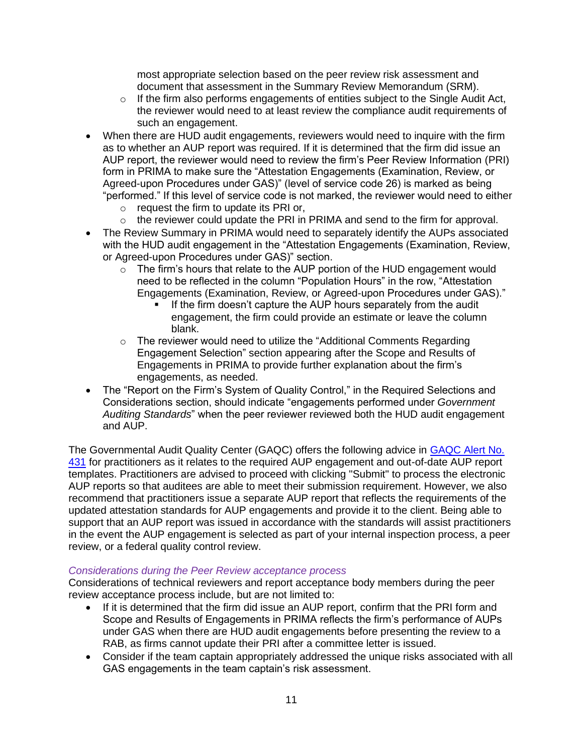most appropriate selection based on the peer review risk assessment and document that assessment in the Summary Review Memorandum (SRM).

- $\circ$  If the firm also performs engagements of entities subject to the Single Audit Act, the reviewer would need to at least review the compliance audit requirements of such an engagement.
- When there are HUD audit engagements, reviewers would need to inquire with the firm as to whether an AUP report was required. If it is determined that the firm did issue an AUP report, the reviewer would need to review the firm's Peer Review Information (PRI) form in PRIMA to make sure the "Attestation Engagements (Examination, Review, or Agreed-upon Procedures under GAS)" (level of service code 26) is marked as being "performed." If this level of service code is not marked, the reviewer would need to either
	- o request the firm to update its PRI or,
	- o the reviewer could update the PRI in PRIMA and send to the firm for approval.
- The Review Summary in PRIMA would need to separately identify the AUPs associated with the HUD audit engagement in the "Attestation Engagements (Examination, Review, or Agreed-upon Procedures under GAS)" section.
	- $\circ$  The firm's hours that relate to the AUP portion of the HUD engagement would need to be reflected in the column "Population Hours" in the row, "Attestation Engagements (Examination, Review, or Agreed-upon Procedures under GAS)."
		- **.** If the firm doesn't capture the AUP hours separately from the audit engagement, the firm could provide an estimate or leave the column blank.
	- $\circ$  The reviewer would need to utilize the "Additional Comments Regarding Engagement Selection" section appearing after the Scope and Results of Engagements in PRIMA to provide further explanation about the firm's engagements, as needed.
- The "Report on the Firm's System of Quality Control," in the Required Selections and Considerations section, should indicate "engagements performed under *Government Auditing Standards*" when the peer reviewer reviewed both the HUD audit engagement and AUP.

The Governmental Audit Quality Center (GAQC) offers the following advice in **GAQC Alert No.** [431](https://us.aicpa.org/interestareas/governmentalauditquality/newsandpublications/gaqcalert/2021gaqcarchivedalerts/gaqcalertno431) for practitioners as it relates to the required AUP engagement and out-of-date AUP report templates. Practitioners are advised to proceed with clicking "Submit" to process the electronic AUP reports so that auditees are able to meet their submission requirement. However, we also recommend that practitioners issue a separate AUP report that reflects the requirements of the updated attestation standards for AUP engagements and provide it to the client. Being able to support that an AUP report was issued in accordance with the standards will assist practitioners in the event the AUP engagement is selected as part of your internal inspection process, a peer review, or a federal quality control review.

#### *Considerations during the Peer Review acceptance process*

Considerations of technical reviewers and report acceptance body members during the peer review acceptance process include, but are not limited to:

- If it is determined that the firm did issue an AUP report, confirm that the PRI form and Scope and Results of Engagements in PRIMA reflects the firm's performance of AUPs under GAS when there are HUD audit engagements before presenting the review to a RAB, as firms cannot update their PRI after a committee letter is issued.
- Consider if the team captain appropriately addressed the unique risks associated with all GAS engagements in the team captain's risk assessment.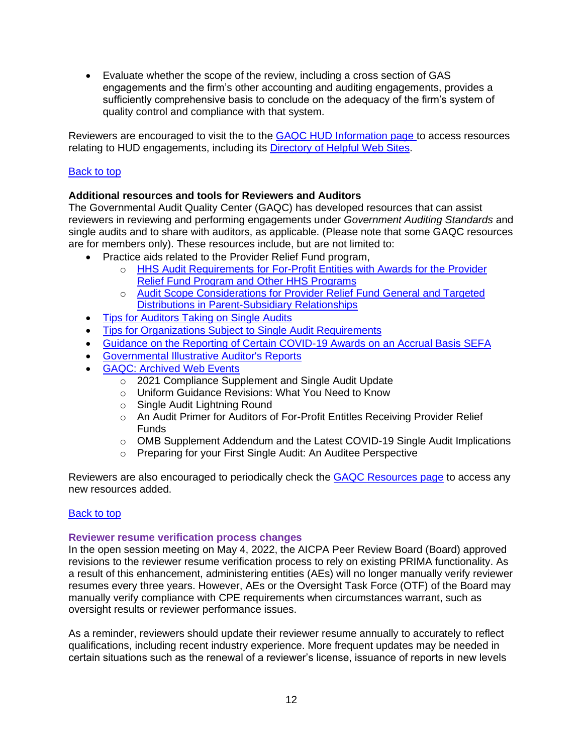• Evaluate whether the scope of the review, including a cross section of GAS engagements and the firm's other accounting and auditing engagements, provides a sufficiently comprehensive basis to conclude on the adequacy of the firm's system of quality control and compliance with that system.

Reviewers are encouraged to visit the to the **GAQC HUD Information page to access resources** relating to HUD engagements, including its [Directory of Helpful Web Sites.](https://www.aicpa.org/interestareas/governmentalauditquality/resources/hudinformation/hudinformationdirectoryofhelpfulwebsites.html)

## [Back to top](#page-0-2)

### <span id="page-11-0"></span>**Additional resources and tools for Reviewers and Auditors**

The Governmental Audit Quality Center (GAQC) has developed resources that can assist reviewers in reviewing and performing engagements under *Government Auditing Standards* and single audits and to share with auditors, as applicable. (Please note that some GAQC resources are for members only). These resources include, but are not limited to:

- Practice aids related to the Provider Relief Fund program,
	- o HHS Audit Requirements for [For-Profit Entities with Awards for the Provider](https://www.aicpa.org/resources/download/auditing-for-profit-entities-with-prf-and-other-hhs-program-funding?utm_medium=email&utm_source=SFMC_RAVE&utm_campaign=GAQC21&utm_content=426022&AdditionalEmailAttribute2=AICPA&AdditionalEmailAttribute3=GAQC_Email_FEB25&AdditionalEmailAttribute4=FEB25_GAQC&AdditionalEmailAttribute5=)  [Relief Fund Program and Other HHS Programs](https://www.aicpa.org/resources/download/auditing-for-profit-entities-with-prf-and-other-hhs-program-funding?utm_medium=email&utm_source=SFMC_RAVE&utm_campaign=GAQC21&utm_content=426022&AdditionalEmailAttribute2=AICPA&AdditionalEmailAttribute3=GAQC_Email_FEB25&AdditionalEmailAttribute4=FEB25_GAQC&AdditionalEmailAttribute5=)
	- o [Audit Scope Considerations for Provider Relief Fund General and Targeted](https://www.aicpa.org/resources/download/prf-targeted-general-distributions-in-parent-subsidiary-relationships?utm_medium=email&utm_source=SFMC_RAVE&utm_campaign=GAQC21&utm_content=426022&AdditionalEmailAttribute2=AICPA&AdditionalEmailAttribute3=GAQC_Email_FEB25&AdditionalEmailAttribute4=FEB25_GAQC&AdditionalEmailAttribute5=)  [Distributions in Parent-Subsidiary Relationships](https://www.aicpa.org/resources/download/prf-targeted-general-distributions-in-parent-subsidiary-relationships?utm_medium=email&utm_source=SFMC_RAVE&utm_campaign=GAQC21&utm_content=426022&AdditionalEmailAttribute2=AICPA&AdditionalEmailAttribute3=GAQC_Email_FEB25&AdditionalEmailAttribute4=FEB25_GAQC&AdditionalEmailAttribute5=)
- [Tips for Auditors Taking on Single Audits](https://www.aicpa.org/resources/download/single-audit-tips-for-auditors?utm_medium=email&utm_source=SFMC_RAVE&utm_campaign=GAQC21&utm_content=426022&AdditionalEmailAttribute2=AICPA&AdditionalEmailAttribute3=GAQC_Email_FEB25&AdditionalEmailAttribute4=FEB25_GAQC&AdditionalEmailAttribute5=)
- [Tips for Organizations Subject to Single](https://www.aicpa.org/resources/download/tips-for-organizations-subject-to-single-audit-requirements?utm_medium=email&utm_source=SFMC_RAVE&utm_campaign=GAQC21&utm_content=426022&AdditionalEmailAttribute2=AICPA&AdditionalEmailAttribute3=GAQC_Email_FEB25&AdditionalEmailAttribute4=FEB25_GAQC&AdditionalEmailAttribute5=) Audit Requirements
- [Guidance on the Reporting of Certain COVID-19 Awards on an Accrual Basis SEFA](https://www.aicpa.org/resources/download/guidance-on-the-reporting-of-covid-19-awards-on-an-accrual-basis-sefa)
- [Governmental Illustrative Auditor's Reports](https://www.aicpa.org/resources/article/governmental-illustrative-auditors-reports)
- [GAQC: Archived Web Events](https://us.aicpa.org/interestareas/governmentalauditquality/resources/archived-web-events.html)
	- o 2021 Compliance Supplement and Single Audit Update
	- o Uniform Guidance Revisions: What You Need to Know
	- o Single Audit Lightning Round
	- o An Audit Primer for Auditors of For-Profit Entitles Receiving Provider Relief Funds
	- o OMB Supplement Addendum and the Latest COVID-19 Single Audit Implications
	- o Preparing for your First Single Audit: An Auditee Perspective

Reviewers are also encouraged to periodically check the [GAQC Resources page](https://us.aicpa.org/interestareas/governmentalauditquality/resources.html) to access any new resources added.

#### [Back to top](#page-0-2)

#### <span id="page-11-1"></span>**Reviewer resume verification process changes**

In the open session meeting on May 4, 2022, the AICPA Peer Review Board (Board) approved revisions to the reviewer resume verification process to rely on existing PRIMA functionality. As a result of this enhancement, administering entities (AEs) will no longer manually verify reviewer resumes every three years. However, AEs or the Oversight Task Force (OTF) of the Board may manually verify compliance with CPE requirements when circumstances warrant, such as oversight results or reviewer performance issues.

As a reminder, reviewers should update their reviewer resume annually to accurately to reflect qualifications, including recent industry experience. More frequent updates may be needed in certain situations such as the renewal of a reviewer's license, issuance of reports in new levels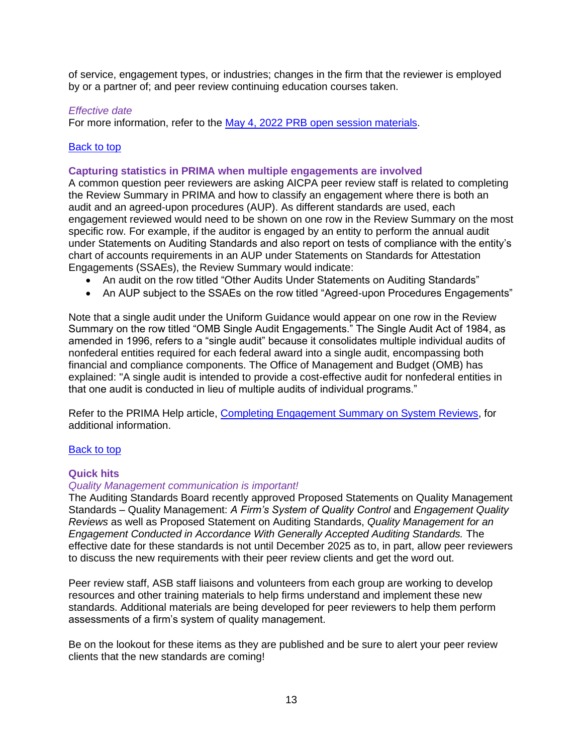of service, engagement types, or industries; changes in the firm that the reviewer is employed by or a partner of; and peer review continuing education courses taken.

### *Effective date*

For more information, refer to the May 4, 2022 [PRB open session materials.](https://us.aicpa.org/content/dam/aicpa/interestareas/peerreview/community/peerreviewboard/meetingminutes/downloadabledocuments/56175896-20220504-prb-open-materials.pdf)

### [Back to top](#page-0-2)

#### <span id="page-12-0"></span>**Capturing statistics in PRIMA when multiple engagements are involved**

A common question peer reviewers are asking AICPA peer review staff is related to completing the Review Summary in PRIMA and how to classify an engagement where there is both an audit and an agreed-upon procedures (AUP). As different standards are used, each engagement reviewed would need to be shown on one row in the Review Summary on the most specific row. For example, if the auditor is engaged by an entity to perform the annual audit under Statements on Auditing Standards and also report on tests of compliance with the entity's chart of accounts requirements in an AUP under Statements on Standards for Attestation Engagements (SSAEs), the Review Summary would indicate:

- An audit on the row titled "Other Audits Under Statements on Auditing Standards"
- An AUP subject to the SSAEs on the row titled "Agreed-upon Procedures Engagements"

Note that a single audit under the Uniform Guidance would appear on one row in the Review Summary on the row titled "OMB Single Audit Engagements." The Single Audit Act of 1984, as amended in 1996, refers to a "single audit" because it consolidates multiple individual audits of nonfederal entities required for each federal award into a single audit, encompassing both financial and compliance components. The Office of Management and Budget (OMB) has explained: "A single audit is intended to provide a cost-effective audit for nonfederal entities in that one audit is conducted in lieu of multiple audits of individual programs."

Refer to the PRIMA Help article, [Completing Engagement Summary on System Reviews,](https://prima.aicpa.org/prweb/sso?pyActivity=@baseclass.KMDisplayHelpPortal&KMHelpSiteName=PR%20Staff%20Helpsite&FromWSS=true&ArticleID=KC-315) for additional information.

#### <span id="page-12-1"></span>[Back to top](#page-0-2)

#### **Quick hits**

#### *Quality Management communication is important!*

The Auditing Standards Board recently approved Proposed Statements on Quality Management Standards – Quality Management: *A Firm's System of Quality Control* and *Engagement Quality Reviews* as well as Proposed Statement on Auditing Standards, *Quality Management for an Engagement Conducted in Accordance With Generally Accepted Auditing Standards.* The effective date for these standards is not until December 2025 as to, in part, allow peer reviewers to discuss the new requirements with their peer review clients and get the word out.

Peer review staff, ASB staff liaisons and volunteers from each group are working to develop resources and other training materials to help firms understand and implement these new standards. Additional materials are being developed for peer reviewers to help them perform assessments of a firm's system of quality management.

Be on the lookout for these items as they are published and be sure to alert your peer review clients that the new standards are coming!